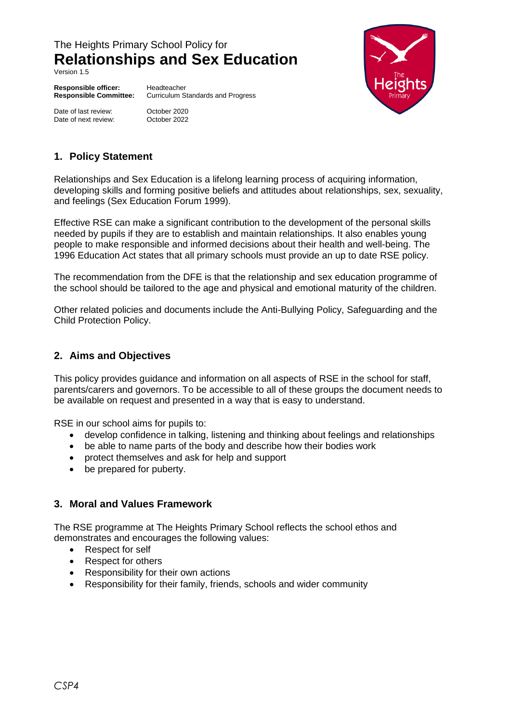# The Heights Primary School Policy for **Relationships and Sex Education**

Version 1.5

**Responsible officer:** Headteacher

Date of last review: October 2020 Date of next review: Cortober 2022

**Responsible Committee:** Curriculum Standards and Progress



# **1. Policy Statement**

Relationships and Sex Education is a lifelong learning process of acquiring information, developing skills and forming positive beliefs and attitudes about relationships, sex, sexuality, and feelings (Sex Education Forum 1999).

Effective RSE can make a significant contribution to the development of the personal skills needed by pupils if they are to establish and maintain relationships. It also enables young people to make responsible and informed decisions about their health and well-being. The 1996 Education Act states that all primary schools must provide an up to date RSE policy.

The recommendation from the DFE is that the relationship and sex education programme of the school should be tailored to the age and physical and emotional maturity of the children.

Other related policies and documents include the Anti-Bullying Policy, Safeguarding and the Child Protection Policy.

### **2. Aims and Objectives**

This policy provides guidance and information on all aspects of RSE in the school for staff, parents/carers and governors. To be accessible to all of these groups the document needs to be available on request and presented in a way that is easy to understand.

RSE in our school aims for pupils to:

- develop confidence in talking, listening and thinking about feelings and relationships
- be able to name parts of the body and describe how their bodies work
- protect themselves and ask for help and support
- be prepared for puberty.

### **3. Moral and Values Framework**

The RSE programme at The Heights Primary School reflects the school ethos and demonstrates and encourages the following values:

- Respect for self
- Respect for others
- Responsibility for their own actions
- Responsibility for their family, friends, schools and wider community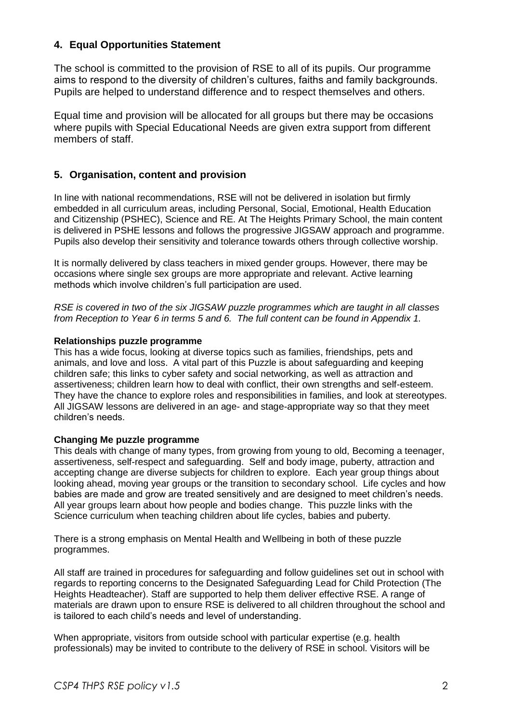# **4. Equal Opportunities Statement**

The school is committed to the provision of RSE to all of its pupils. Our programme aims to respond to the diversity of children's cultures, faiths and family backgrounds. Pupils are helped to understand difference and to respect themselves and others.

Equal time and provision will be allocated for all groups but there may be occasions where pupils with Special Educational Needs are given extra support from different members of staff.

# **5. Organisation, content and provision**

In line with national recommendations, RSE will not be delivered in isolation but firmly embedded in all curriculum areas, including Personal, Social, Emotional, Health Education and Citizenship (PSHEC), Science and RE. At The Heights Primary School, the main content is delivered in PSHE lessons and follows the progressive JIGSAW approach and programme. Pupils also develop their sensitivity and tolerance towards others through collective worship.

It is normally delivered by class teachers in mixed gender groups. However, there may be occasions where single sex groups are more appropriate and relevant. Active learning methods which involve children's full participation are used.

*RSE is covered in two of the six JIGSAW puzzle programmes which are taught in all classes from Reception to Year 6 in terms 5 and 6. The full content can be found in Appendix 1.*

#### **Relationships puzzle programme**

This has a wide focus, looking at diverse topics such as families, friendships, pets and animals, and love and loss. A vital part of this Puzzle is about safeguarding and keeping children safe; this links to cyber safety and social networking, as well as attraction and assertiveness; children learn how to deal with conflict, their own strengths and self-esteem. They have the chance to explore roles and responsibilities in families, and look at stereotypes. All JIGSAW lessons are delivered in an age- and stage-appropriate way so that they meet children's needs.

#### **Changing Me puzzle programme**

This deals with change of many types, from growing from young to old, Becoming a teenager, assertiveness, self-respect and safeguarding. Self and body image, puberty, attraction and accepting change are diverse subjects for children to explore. Each year group things about looking ahead, moving year groups or the transition to secondary school. Life cycles and how babies are made and grow are treated sensitively and are designed to meet children's needs. All year groups learn about how people and bodies change. This puzzle links with the Science curriculum when teaching children about life cycles, babies and puberty*.* 

There is a strong emphasis on Mental Health and Wellbeing in both of these puzzle programmes.

All staff are trained in procedures for safeguarding and follow guidelines set out in school with regards to reporting concerns to the Designated Safeguarding Lead for Child Protection (The Heights Headteacher). Staff are supported to help them deliver effective RSE. A range of materials are drawn upon to ensure RSE is delivered to all children throughout the school and is tailored to each child's needs and level of understanding.

When appropriate, visitors from outside school with particular expertise (e.g. health professionals) may be invited to contribute to the delivery of RSE in school. Visitors will be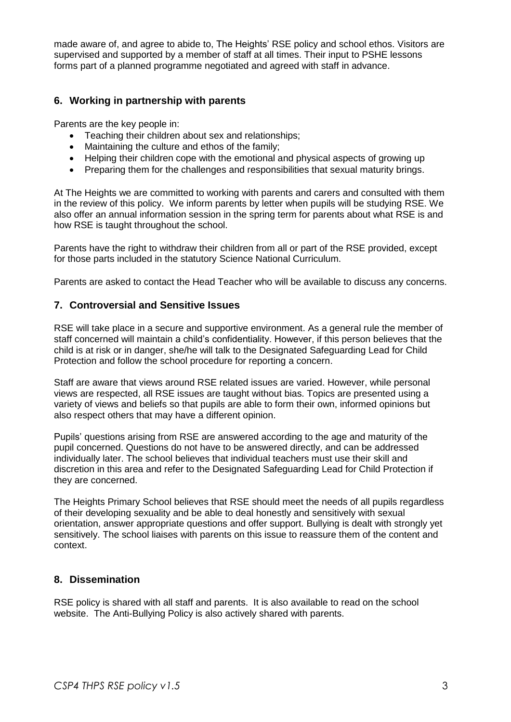made aware of, and agree to abide to, The Heights' RSE policy and school ethos. Visitors are supervised and supported by a member of staff at all times. Their input to PSHE lessons forms part of a planned programme negotiated and agreed with staff in advance.

# **6. Working in partnership with parents**

Parents are the key people in:

- Teaching their children about sex and relationships;
- Maintaining the culture and ethos of the family:
- Helping their children cope with the emotional and physical aspects of growing up
- Preparing them for the challenges and responsibilities that sexual maturity brings.

At The Heights we are committed to working with parents and carers and consulted with them in the review of this policy. We inform parents by letter when pupils will be studying RSE. We also offer an annual information session in the spring term for parents about what RSE is and how RSE is taught throughout the school.

Parents have the right to withdraw their children from all or part of the RSE provided, except for those parts included in the statutory Science National Curriculum.

Parents are asked to contact the Head Teacher who will be available to discuss any concerns.

#### **7. Controversial and Sensitive Issues**

RSE will take place in a secure and supportive environment. As a general rule the member of staff concerned will maintain a child's confidentiality. However, if this person believes that the child is at risk or in danger, she/he will talk to the Designated Safeguarding Lead for Child Protection and follow the school procedure for reporting a concern.

Staff are aware that views around RSE related issues are varied. However, while personal views are respected, all RSE issues are taught without bias. Topics are presented using a variety of views and beliefs so that pupils are able to form their own, informed opinions but also respect others that may have a different opinion.

Pupils' questions arising from RSE are answered according to the age and maturity of the pupil concerned. Questions do not have to be answered directly, and can be addressed individually later. The school believes that individual teachers must use their skill and discretion in this area and refer to the Designated Safeguarding Lead for Child Protection if they are concerned.

The Heights Primary School believes that RSE should meet the needs of all pupils regardless of their developing sexuality and be able to deal honestly and sensitively with sexual orientation, answer appropriate questions and offer support. Bullying is dealt with strongly yet sensitively. The school liaises with parents on this issue to reassure them of the content and context.

## **8. Dissemination**

RSE policy is shared with all staff and parents. It is also available to read on the school website. The Anti-Bullying Policy is also actively shared with parents.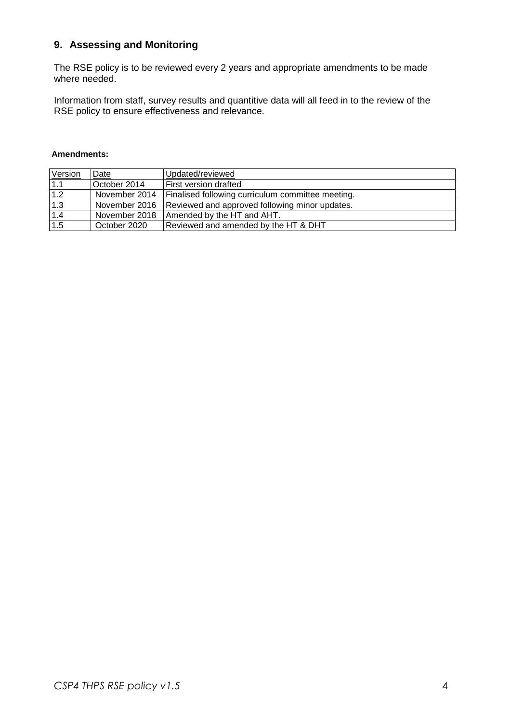# **9. Assessing and Monitoring**

The RSE policy is to be reviewed every 2 years and appropriate amendments to be made where needed.

Information from staff, survey results and quantitive data will all feed in to the review of the RSE policy to ensure effectiveness and relevance.

#### **Amendments:**

| Version | Date          | Updated/reviewed                                  |
|---------|---------------|---------------------------------------------------|
| 1.1     | October 2014  | First version drafted                             |
| $1.2$   | November 2014 | Finalised following curriculum committee meeting. |
| 1.3     | November 2016 | Reviewed and approved following minor updates.    |
| 1.4     | November 2018 | Amended by the HT and AHT.                        |
| 1.5     | October 2020  | Reviewed and amended by the HT & DHT              |